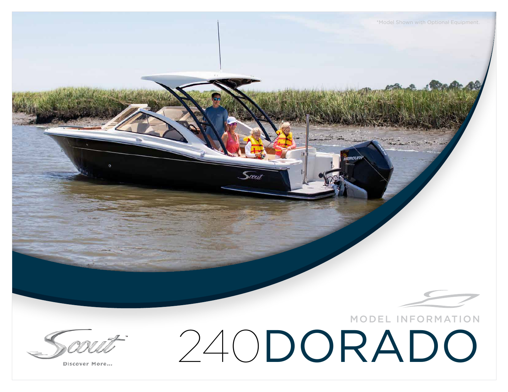

Discover More...